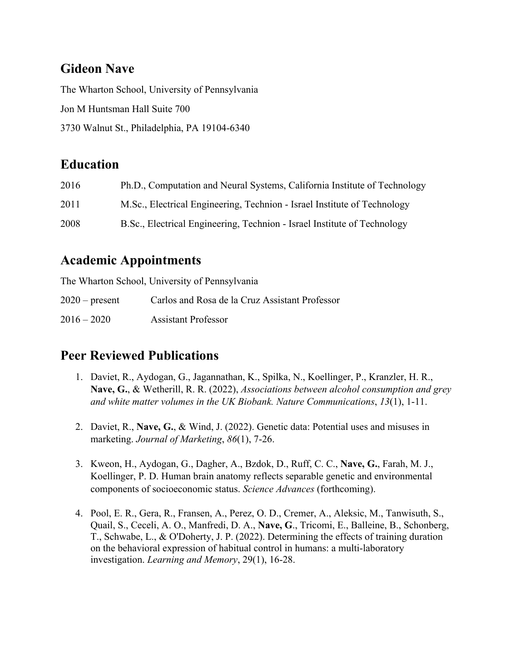# **Gideon Nave**

The Wharton School, University of Pennsylvania Jon M Huntsman Hall Suite 700 3730 Walnut St., Philadelphia, PA 19104-6340

## **Education**

| 2016 | Ph.D., Computation and Neural Systems, California Institute of Technology |
|------|---------------------------------------------------------------------------|
| 2011 | M.Sc., Electrical Engineering, Technion - Israel Institute of Technology  |
| 2008 | B.Sc., Electrical Engineering, Technion - Israel Institute of Technology  |

# **Academic Appointments**

The Wharton School, University of Pennsylvania

2020 – present Carlos and Rosa de la Cruz Assistant Professor 2016 – 2020 Assistant Professor

# **Peer Reviewed Publications**

- 1. Daviet, R., Aydogan, G., Jagannathan, K., Spilka, N., Koellinger, P., Kranzler, H. R., **Nave, G.**, & Wetherill, R. R. (2022), *Associations between alcohol consumption and grey and white matter volumes in the UK Biobank. Nature Communications*, *13*(1), 1-11.
- 2. Daviet, R., **Nave, G.**, & Wind, J. (2022). Genetic data: Potential uses and misuses in marketing. *Journal of Marketing*, *86*(1), 7-26.
- 3. Kweon, H., Aydogan, G., Dagher, A., Bzdok, D., Ruff, C. C., **Nave, G.**, Farah, M. J., Koellinger, P. D. Human brain anatomy reflects separable genetic and environmental components of socioeconomic status. *Science Advances* (forthcoming).
- 4. Pool, E. R., Gera, R., Fransen, A., Perez, O. D., Cremer, A., Aleksic, M., Tanwisuth, S., Quail, S., Ceceli, A. O., Manfredi, D. A., **Nave, G**., Tricomi, E., Balleine, B., Schonberg, T., Schwabe, L., & O'Doherty, J. P. (2022). Determining the effects of training duration on the behavioral expression of habitual control in humans: a multi-laboratory investigation. *Learning and Memory*, 29(1), 16-28.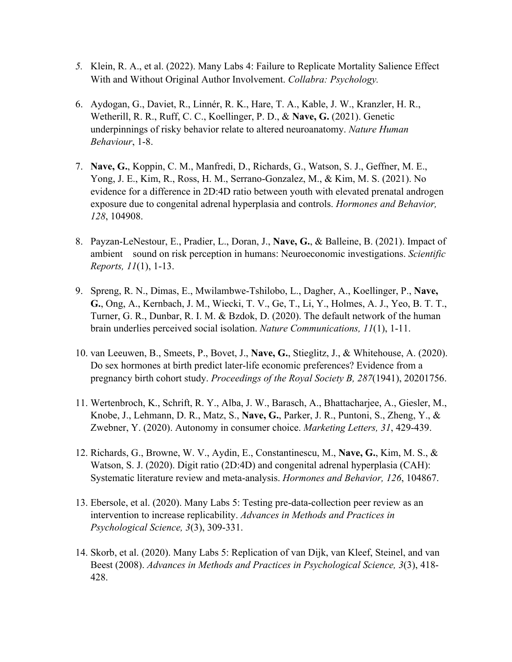- *5.* Klein, R. A., et al. (2022). Many Labs 4: Failure to Replicate Mortality Salience Effect With and Without Original Author Involvement. *Collabra: Psychology.*
- 6. Aydogan, G., Daviet, R., Linnér, R. K., Hare, T. A., Kable, J. W., Kranzler, H. R., Wetherill, R. R., Ruff, C. C., Koellinger, P. D., & **Nave, G.** (2021). Genetic underpinnings of risky behavior relate to altered neuroanatomy. *Nature Human Behaviour*, 1-8.
- 7. **Nave, G.**, Koppin, C. M., Manfredi, D., Richards, G., Watson, S. J., Geffner, M. E., Yong, J. E., Kim, R., Ross, H. M., Serrano-Gonzalez, M., & Kim, M. S. (2021). No evidence for a difference in 2D:4D ratio between youth with elevated prenatal androgen exposure due to congenital adrenal hyperplasia and controls. *Hormones and Behavior, 128*, 104908.
- 8. Payzan-LeNestour, E., Pradier, L., Doran, J., **Nave, G.**, & Balleine, B. (2021). Impact of ambient sound on risk perception in humans: Neuroeconomic investigations. *Scientific Reports, 11*(1), 1-13.
- 9. Spreng, R. N., Dimas, E., Mwilambwe-Tshilobo, L., Dagher, A., Koellinger, P., **Nave, G.**, Ong, A., Kernbach, J. M., Wiecki, T. V., Ge, T., Li, Y., Holmes, A. J., Yeo, B. T. T., Turner, G. R., Dunbar, R. I. M. & Bzdok, D. (2020). The default network of the human brain underlies perceived social isolation. *Nature Communications, 11*(1), 1-11.
- 10. van Leeuwen, B., Smeets, P., Bovet, J., **Nave, G.**, Stieglitz, J., & Whitehouse, A. (2020). Do sex hormones at birth predict later-life economic preferences? Evidence from a pregnancy birth cohort study. *Proceedings of the Royal Society B, 287*(1941), 20201756.
- 11. Wertenbroch, K., Schrift, R. Y., Alba, J. W., Barasch, A., Bhattacharjee, A., Giesler, M., Knobe, J., Lehmann, D. R., Matz, S., **Nave, G.**, Parker, J. R., Puntoni, S., Zheng, Y., & Zwebner, Y. (2020). Autonomy in consumer choice. *Marketing Letters, 31*, 429-439.
- 12. Richards, G., Browne, W. V., Aydin, E., Constantinescu, M., **Nave, G.**, Kim, M. S., & Watson, S. J. (2020). Digit ratio (2D:4D) and congenital adrenal hyperplasia (CAH): Systematic literature review and meta-analysis. *Hormones and Behavior, 126*, 104867.
- 13. Ebersole, et al. (2020). Many Labs 5: Testing pre-data-collection peer review as an intervention to increase replicability. *Advances in Methods and Practices in Psychological Science, 3*(3), 309-331.
- 14. Skorb, et al. (2020). Many Labs 5: Replication of van Dijk, van Kleef, Steinel, and van Beest (2008). *Advances in Methods and Practices in Psychological Science, 3*(3), 418- 428.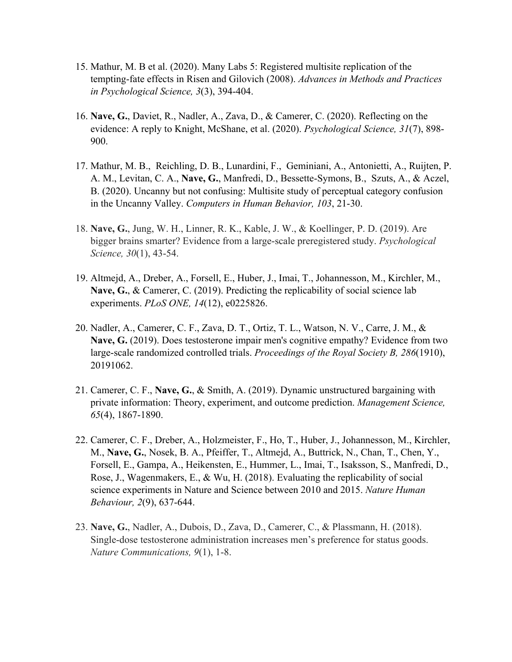- 15. Mathur, M. B et al. (2020). Many Labs 5: Registered multisite replication of the tempting-fate effects in Risen and Gilovich (2008). *Advances in Methods and Practices in Psychological Science, 3*(3), 394-404.
- 16. **Nave, G.**, Daviet, R., Nadler, A., Zava, D., & Camerer, C. (2020). Reflecting on the evidence: A reply to Knight, McShane, et al. (2020). *Psychological Science, 31*(7), 898- 900.
- 17. Mathur, M. B., Reichling, D. B., Lunardini, F., Geminiani, A., Antonietti, A., Ruijten, P. A. M., Levitan, C. A., **Nave, G.**, Manfredi, D., Bessette-Symons, B., Szuts, A., & Aczel, B. (2020). Uncanny but not confusing: Multisite study of perceptual category confusion in the Uncanny Valley. *Computers in Human Behavior, 103*, 21-30.
- 18. **Nave, G.**, Jung, W. H., Linner, R. K., Kable, J. W., & Koellinger, P. D. (2019). Are bigger brains smarter? Evidence from a large-scale preregistered study. *Psychological Science, 30*(1), 43-54.
- 19. Altmejd, A., Dreber, A., Forsell, E., Huber, J., Imai, T., Johannesson, M., Kirchler, M., **Nave, G.**, & Camerer, C. (2019). Predicting the replicability of social science lab experiments. *PLoS ONE, 14*(12), e0225826.
- 20. Nadler, A., Camerer, C. F., Zava, D. T., Ortiz, T. L., Watson, N. V., Carre, J. M., & **Nave, G.** (2019). Does testosterone impair men's cognitive empathy? Evidence from two large-scale randomized controlled trials. *Proceedings of the Royal Society B, 286*(1910), 20191062.
- 21. Camerer, C. F., **Nave, G.**, & Smith, A. (2019). Dynamic unstructured bargaining with private information: Theory, experiment, and outcome prediction. *Management Science, 65*(4), 1867-1890.
- 22. Camerer, C. F., Dreber, A., Holzmeister, F., Ho, T., Huber, J., Johannesson, M., Kirchler, M., **Nave, G.**, Nosek, B. A., Pfeiffer, T., Altmejd, A., Buttrick, N., Chan, T., Chen, Y., Forsell, E., Gampa, A., Heikensten, E., Hummer, L., Imai, T., Isaksson, S., Manfredi, D., Rose, J., Wagenmakers, E., & Wu, H. (2018). Evaluating the replicability of social science experiments in Nature and Science between 2010 and 2015. *Nature Human Behaviour, 2*(9), 637-644.
- 23. **Nave, G.**, Nadler, A., Dubois, D., Zava, D., Camerer, C., & Plassmann, H. (2018). Single-dose testosterone administration increases men's preference for status goods. *Nature Communications, 9*(1), 1-8.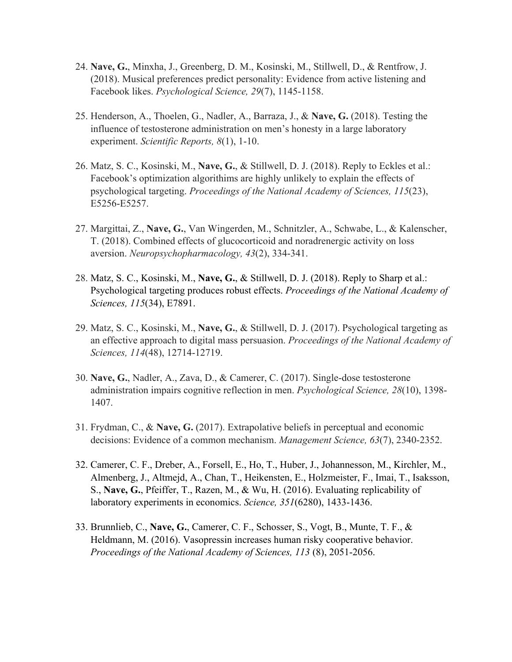- 24. **Nave, G.**, Minxha, J., Greenberg, D. M., Kosinski, M., Stillwell, D., & Rentfrow, J. (2018). Musical preferences predict personality: Evidence from active listening and Facebook likes. *Psychological Science, 29*(7), 1145-1158.
- 25. Henderson, A., Thoelen, G., Nadler, A., Barraza, J., & **Nave, G.** (2018). Testing the influence of testosterone administration on men's honesty in a large laboratory experiment. *Scientific Reports, 8*(1), 1-10.
- 26. Matz, S. C., Kosinski, M., **Nave, G.**, & Stillwell, D. J. (2018). Reply to Eckles et al.: Facebook's optimization algorithims are highly unlikely to explain the effects of psychological targeting. *Proceedings of the National Academy of Sciences, 115*(23), E5256-E5257.
- 27. Margittai, Z., **Nave, G.**, Van Wingerden, M., Schnitzler, A., Schwabe, L., & Kalenscher, T. (2018). Combined effects of glucocorticoid and noradrenergic activity on loss aversion. *Neuropsychopharmacology, 43*(2), 334-341.
- 28. Matz, S. C., Kosinski, M., **Nave, G.**, & Stillwell, D. J. (2018). Reply to Sharp et al.: Psychological targeting produces robust effects. *Proceedings of the National Academy of Sciences, 115*(34), E7891.
- 29. Matz, S. C., Kosinski, M., **Nave, G.**, & Stillwell, D. J. (2017). Psychological targeting as an effective approach to digital mass persuasion. *Proceedings of the National Academy of Sciences, 114*(48), 12714-12719.
- 30. **Nave, G.**, Nadler, A., Zava, D., & Camerer, C. (2017). Single-dose testosterone administration impairs cognitive reflection in men. *Psychological Science, 28*(10), 1398- 1407.
- 31. Frydman, C., & **Nave, G.** (2017). Extrapolative beliefs in perceptual and economic decisions: Evidence of a common mechanism. *Management Science, 63*(7), 2340-2352.
- 32. Camerer, C. F., Dreber, A., Forsell, E., Ho, T., Huber, J., Johannesson, M., Kirchler, M., Almenberg, J., Altmejd, A., Chan, T., Heikensten, E., Holzmeister, F., Imai, T., Isaksson, S., **Nave, G.**, Pfeiffer, T., Razen, M., & Wu, H. (2016). Evaluating replicability of laboratory experiments in economics. *Science, 351*(6280), 1433-1436.
- 33. Brunnlieb, C., **Nave, G.**, Camerer, C. F., Schosser, S., Vogt, B., Munte, T. F., & Heldmann, M. (2016). Vasopressin increases human risky cooperative behavior. *Proceedings of the National Academy of Sciences, 113* (8), 2051-2056.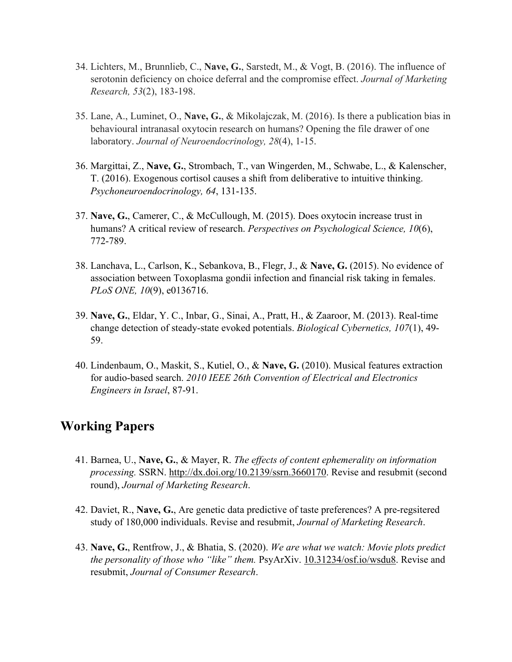- 34. Lichters, M., Brunnlieb, C., **Nave, G.**, Sarstedt, M., & Vogt, B. (2016). The influence of serotonin deficiency on choice deferral and the compromise effect. *Journal of Marketing Research, 53*(2), 183-198.
- 35. Lane, A., Luminet, O., **Nave, G.**, & Mikolajczak, M. (2016). Is there a publication bias in behavioural intranasal oxytocin research on humans? Opening the file drawer of one laboratory. *Journal of Neuroendocrinology, 28*(4), 1-15.
- 36. Margittai, Z., **Nave, G.**, Strombach, T., van Wingerden, M., Schwabe, L., & Kalenscher, T. (2016). Exogenous cortisol causes a shift from deliberative to intuitive thinking. *Psychoneuroendocrinology, 64*, 131-135.
- 37. **Nave, G.**, Camerer, C., & McCullough, M. (2015). Does oxytocin increase trust in humans? A critical review of research. *Perspectives on Psychological Science, 10*(6), 772-789.
- 38. Lanchava, L., Carlson, K., Sebankova, B., Flegr, J., & **Nave, G.** (2015). No evidence of association between Toxoplasma gondii infection and financial risk taking in females. *PLoS ONE, 10*(9), e0136716.
- 39. **Nave, G.**, Eldar, Y. C., Inbar, G., Sinai, A., Pratt, H., & Zaaroor, M. (2013). Real-time change detection of steady-state evoked potentials. *Biological Cybernetics, 107*(1), 49- 59.
- 40. Lindenbaum, O., Maskit, S., Kutiel, O., & **Nave, G.** (2010). Musical features extraction for audio-based search. *2010 IEEE 26th Convention of Electrical and Electronics Engineers in Israel*, 87-91.

### **Working Papers**

- 41. Barnea, U., **Nave, G.**, & Mayer, R. *The effects of content ephemerality on information processing.* SSRN. http://dx.doi.org/10.2139/ssrn.3660170. Revise and resubmit (second round), *Journal of Marketing Research*.
- 42. Daviet, R., **Nave, G.**, Are genetic data predictive of taste preferences? A pre-regsitered study of 180,000 individuals. Revise and resubmit, *Journal of Marketing Research*.
- 43. **Nave, G.**, Rentfrow, J., & Bhatia, S. (2020). *We are what we watch: Movie plots predict the personality of those who "like" them.* PsyArXiv. 10.31234/osf.io/wsdu8. Revise and resubmit, *Journal of Consumer Research*.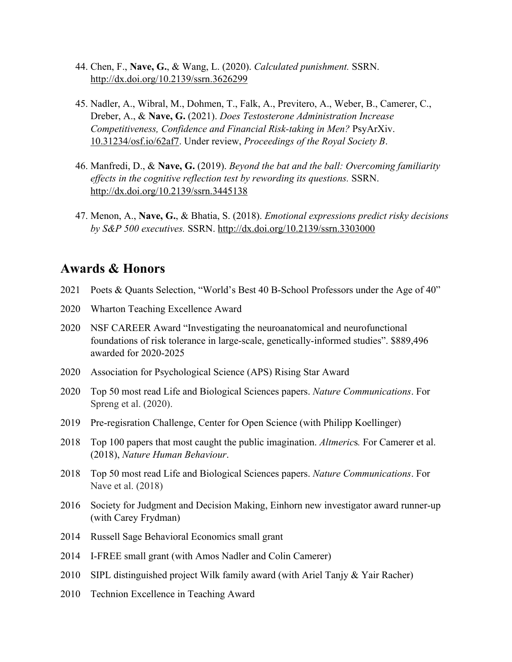- 44. Chen, F., **Nave, G.**, & Wang, L. (2020). *Calculated punishment.* SSRN. http://dx.doi.org/10.2139/ssrn.3626299
- 45. Nadler, A., Wibral, M., Dohmen, T., Falk, A., Previtero, A., Weber, B., Camerer, C., Dreber, A., & **Nave, G.** (2021). *Does Testosterone Administration Increase Competitiveness, Confidence and Financial Risk-taking in Men?* PsyArXiv. 10.31234/osf.io/62af7. Under review, *Proceedings of the Royal Society B*.
- 46. Manfredi, D., & **Nave, G.** (2019). *Beyond the bat and the ball: Overcoming familiarity effects in the cognitive reflection test by rewording its questions.* SSRN. http://dx.doi.org/10.2139/ssrn.3445138
- 47. Menon, A., **Nave, G.**, & Bhatia, S. (2018). *Emotional expressions predict risky decisions by S&P 500 executives.* SSRN. http://dx.doi.org/10.2139/ssrn.3303000

#### **Awards & Honors**

- 2021 Poets & Quants Selection, "World's Best 40 B-School Professors under the Age of 40"
- 2020 Wharton Teaching Excellence Award
- 2020 NSF CAREER Award "Investigating the neuroanatomical and neurofunctional foundations of risk tolerance in large-scale, genetically-informed studies". \$889,496 awarded for 2020-2025
- 2020 Association for Psychological Science (APS) Rising Star Award
- 2020 Top 50 most read Life and Biological Sciences papers. *Nature Communications*. For Spreng et al. (2020).
- 2019 Pre-regisration Challenge, Center for Open Science (with Philipp Koellinger)
- 2018 Top 100 papers that most caught the public imagination. *Altmeric*s*.* For Camerer et al. (2018), *Nature Human Behaviour*.
- 2018 Top 50 most read Life and Biological Sciences papers. *Nature Communications*. For Nave et al. (2018)
- 2016 Society for Judgment and Decision Making, Einhorn new investigator award runner-up (with Carey Frydman)
- 2014 Russell Sage Behavioral Economics small grant
- 2014 I-FREE small grant (with Amos Nadler and Colin Camerer)
- 2010 SIPL distinguished project Wilk family award (with Ariel Tanjy & Yair Racher)
- 2010 Technion Excellence in Teaching Award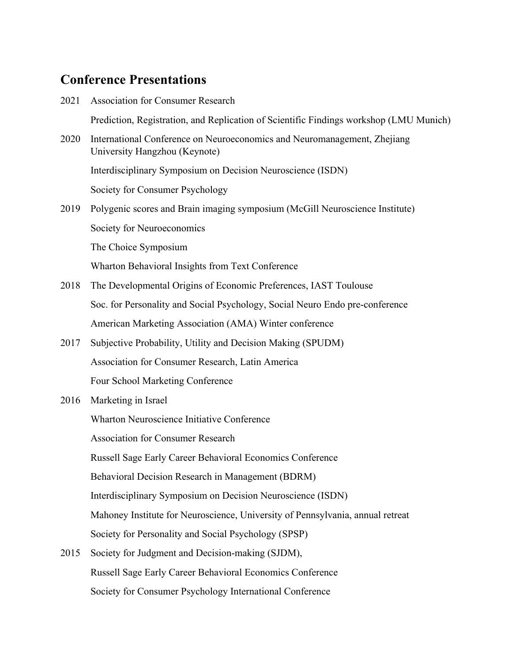# **Conference Presentations**

| 2021 | <b>Association for Consumer Research</b>                                                                  |
|------|-----------------------------------------------------------------------------------------------------------|
|      | Prediction, Registration, and Replication of Scientific Findings workshop (LMU Munich)                    |
| 2020 | International Conference on Neuroeconomics and Neuromanagement, Zhejiang<br>University Hangzhou (Keynote) |
|      | Interdisciplinary Symposium on Decision Neuroscience (ISDN)                                               |
|      | Society for Consumer Psychology                                                                           |
| 2019 | Polygenic scores and Brain imaging symposium (McGill Neuroscience Institute)                              |
|      | Society for Neuroeconomics                                                                                |
|      | The Choice Symposium                                                                                      |
|      | Wharton Behavioral Insights from Text Conference                                                          |
| 2018 | The Developmental Origins of Economic Preferences, IAST Toulouse                                          |
|      | Soc. for Personality and Social Psychology, Social Neuro Endo pre-conference                              |
|      | American Marketing Association (AMA) Winter conference                                                    |
| 2017 | Subjective Probability, Utility and Decision Making (SPUDM)                                               |
|      | Association for Consumer Research, Latin America                                                          |
|      | Four School Marketing Conference                                                                          |
| 2016 | Marketing in Israel                                                                                       |
|      | Wharton Neuroscience Initiative Conference                                                                |
|      | <b>Association for Consumer Research</b>                                                                  |
|      | Russell Sage Early Career Behavioral Economics Conference                                                 |
|      | Behavioral Decision Research in Management (BDRM)                                                         |
|      | Interdisciplinary Symposium on Decision Neuroscience (ISDN)                                               |
|      | Mahoney Institute for Neuroscience, University of Pennsylvania, annual retreat                            |
|      | Society for Personality and Social Psychology (SPSP)                                                      |
| 2015 | Society for Judgment and Decision-making (SJDM),                                                          |
|      | Russell Sage Early Career Behavioral Economics Conference                                                 |

Society for Consumer Psychology International Conference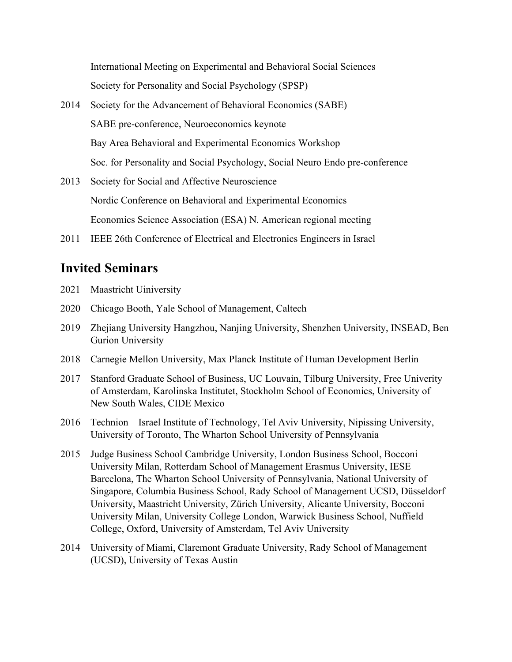International Meeting on Experimental and Behavioral Social Sciences Society for Personality and Social Psychology (SPSP)

- 2014 Society for the Advancement of Behavioral Economics (SABE) SABE pre-conference, Neuroeconomics keynote Bay Area Behavioral and Experimental Economics Workshop Soc. for Personality and Social Psychology, Social Neuro Endo pre-conference
- 2013 Society for Social and Affective Neuroscience Nordic Conference on Behavioral and Experimental Economics Economics Science Association (ESA) N. American regional meeting
- 2011 IEEE 26th Conference of Electrical and Electronics Engineers in Israel

## **Invited Seminars**

- 2021 Maastricht Uiniversity
- 2020 Chicago Booth, Yale School of Management, Caltech
- 2019 Zhejiang University Hangzhou, Nanjing University, Shenzhen University, INSEAD, Ben Gurion University
- 2018 Carnegie Mellon University, Max Planck Institute of Human Development Berlin
- 2017 Stanford Graduate School of Business, UC Louvain, Tilburg University, Free Univerity of Amsterdam, Karolinska Institutet, Stockholm School of Economics, University of New South Wales, CIDE Mexico
- 2016 Technion Israel Institute of Technology, Tel Aviv University, Nipissing University, University of Toronto, The Wharton School University of Pennsylvania
- 2015 Judge Business School Cambridge University, London Business School, Bocconi University Milan, Rotterdam School of Management Erasmus University, IESE Barcelona, The Wharton School University of Pennsylvania, National University of Singapore, Columbia Business School, Rady School of Management UCSD, Düsseldorf University, Maastricht University, Zürich University, Alicante University, Bocconi University Milan, University College London, Warwick Business School, Nuffield College, Oxford, University of Amsterdam, Tel Aviv University
- 2014 University of Miami, Claremont Graduate University, Rady School of Management (UCSD), University of Texas Austin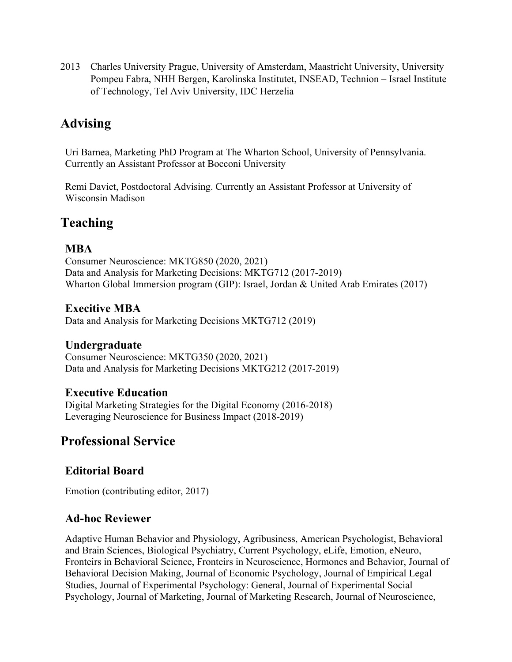2013 Charles University Prague, University of Amsterdam, Maastricht University, University Pompeu Fabra, NHH Bergen, Karolinska Institutet, INSEAD, Technion – Israel Institute of Technology, Tel Aviv University, IDC Herzelia

# **Advising**

Uri Barnea, Marketing PhD Program at The Wharton School, University of Pennsylvania. Currently an Assistant Professor at Bocconi University

Remi Daviet, Postdoctoral Advising. Currently an Assistant Professor at University of Wisconsin Madison

## **Teaching**

#### **MBA**

Consumer Neuroscience: MKTG850 (2020, 2021) Data and Analysis for Marketing Decisions: MKTG712 (2017-2019) Wharton Global Immersion program (GIP): Israel, Jordan & United Arab Emirates (2017)

#### **Execitive MBA**

Data and Analysis for Marketing Decisions MKTG712 (2019)

#### **Undergraduate**

Consumer Neuroscience: MKTG350 (2020, 2021) Data and Analysis for Marketing Decisions MKTG212 (2017-2019)

#### **Executive Education**

Digital Marketing Strategies for the Digital Economy (2016-2018) Leveraging Neuroscience for Business Impact (2018-2019)

## **Professional Service**

### **Editorial Board**

Emotion (contributing editor, 2017)

### **Ad-hoc Reviewer**

Adaptive Human Behavior and Physiology, Agribusiness, American Psychologist, Behavioral and Brain Sciences, Biological Psychiatry, Current Psychology, eLife, Emotion, eNeuro, Fronteirs in Behavioral Science, Fronteirs in Neuroscience, Hormones and Behavior, Journal of Behavioral Decision Making, Journal of Economic Psychology, Journal of Empirical Legal Studies, Journal of Experimental Psychology: General, Journal of Experimental Social Psychology, Journal of Marketing, Journal of Marketing Research, Journal of Neuroscience,